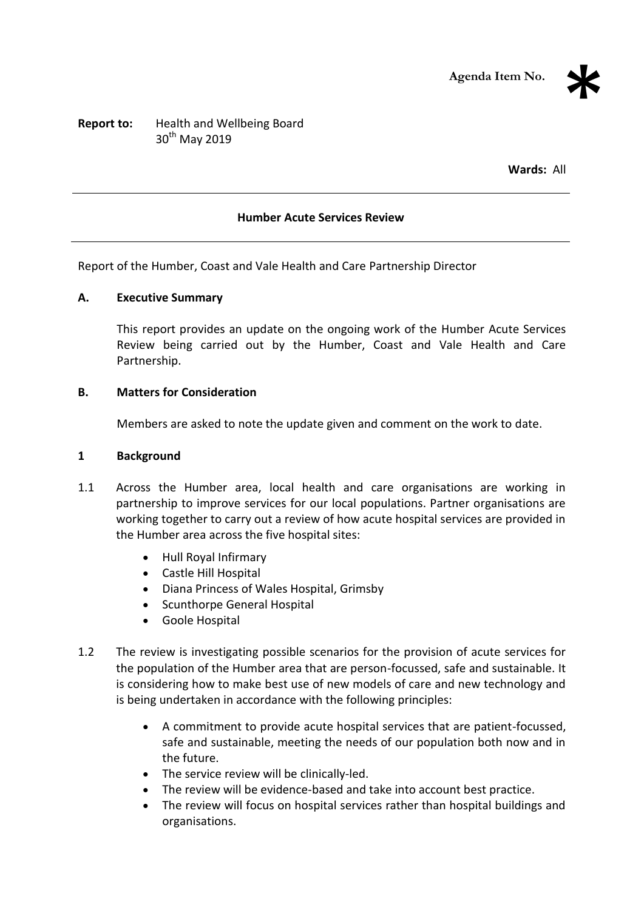

# **Report to:** Health and Wellbeing Board 30<sup>th</sup> May 2019

**Wards:** All

#### **Humber Acute Services Review**

Report of the Humber, Coast and Vale Health and Care Partnership Director

#### **A. Executive Summary**

This report provides an update on the ongoing work of the Humber Acute Services Review being carried out by the Humber, Coast and Vale Health and Care Partnership.

#### **B. Matters for Consideration**

Members are asked to note the update given and comment on the work to date.

#### **1 Background**

- 1.1 Across the Humber area, local health and care organisations are working in partnership to improve services for our local populations. Partner organisations are working together to carry out a review of how acute hospital services are provided in the Humber area across the five hospital sites:
	- Hull Royal Infirmary
	- Castle Hill Hospital
	- Diana Princess of Wales Hospital, Grimsby
	- Scunthorpe General Hospital
	- Goole Hospital
- 1.2 The review is investigating possible scenarios for the provision of acute services for the population of the Humber area that are person-focussed, safe and sustainable. It is considering how to make best use of new models of care and new technology and is being undertaken in accordance with the following principles:
	- A commitment to provide acute hospital services that are patient-focussed, safe and sustainable, meeting the needs of our population both now and in the future.
	- The service review will be clinically-led.
	- The review will be evidence-based and take into account best practice.
	- The review will focus on hospital services rather than hospital buildings and organisations.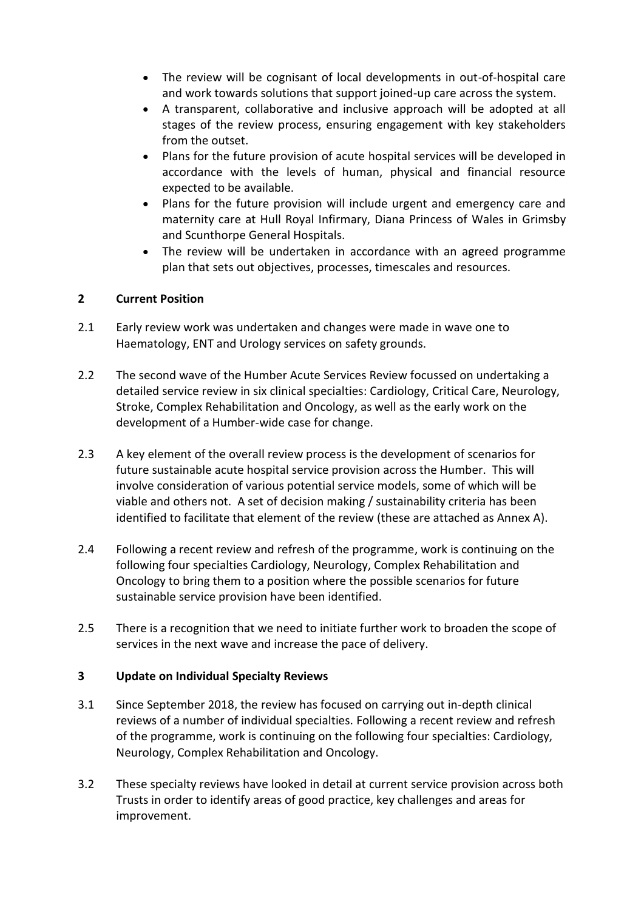- The review will be cognisant of local developments in out-of-hospital care and work towards solutions that support joined-up care across the system.
- A transparent, collaborative and inclusive approach will be adopted at all stages of the review process, ensuring engagement with key stakeholders from the outset.
- Plans for the future provision of acute hospital services will be developed in accordance with the levels of human, physical and financial resource expected to be available.
- Plans for the future provision will include urgent and emergency care and maternity care at Hull Royal Infirmary, Diana Princess of Wales in Grimsby and Scunthorpe General Hospitals.
- The review will be undertaken in accordance with an agreed programme plan that sets out objectives, processes, timescales and resources.

## **2 Current Position**

- 2.1 Early review work was undertaken and changes were made in wave one to Haematology, ENT and Urology services on safety grounds.
- 2.2 The second wave of the Humber Acute Services Review focussed on undertaking a detailed service review in six clinical specialties: Cardiology, Critical Care, Neurology, Stroke, Complex Rehabilitation and Oncology, as well as the early work on the development of a Humber-wide case for change.
- 2.3 A key element of the overall review process is the development of scenarios for future sustainable acute hospital service provision across the Humber. This will involve consideration of various potential service models, some of which will be viable and others not. A set of decision making / sustainability criteria has been identified to facilitate that element of the review (these are attached as Annex A).
- 2.4 Following a recent review and refresh of the programme, work is continuing on the following four specialties Cardiology, Neurology, Complex Rehabilitation and Oncology to bring them to a position where the possible scenarios for future sustainable service provision have been identified.
- 2.5 There is a recognition that we need to initiate further work to broaden the scope of services in the next wave and increase the pace of delivery.

## **3 Update on Individual Specialty Reviews**

- 3.1 Since September 2018, the review has focused on carrying out in-depth clinical reviews of a number of individual specialties. Following a recent review and refresh of the programme, work is continuing on the following four specialties: Cardiology, Neurology, Complex Rehabilitation and Oncology.
- 3.2 These specialty reviews have looked in detail at current service provision across both Trusts in order to identify areas of good practice, key challenges and areas for improvement.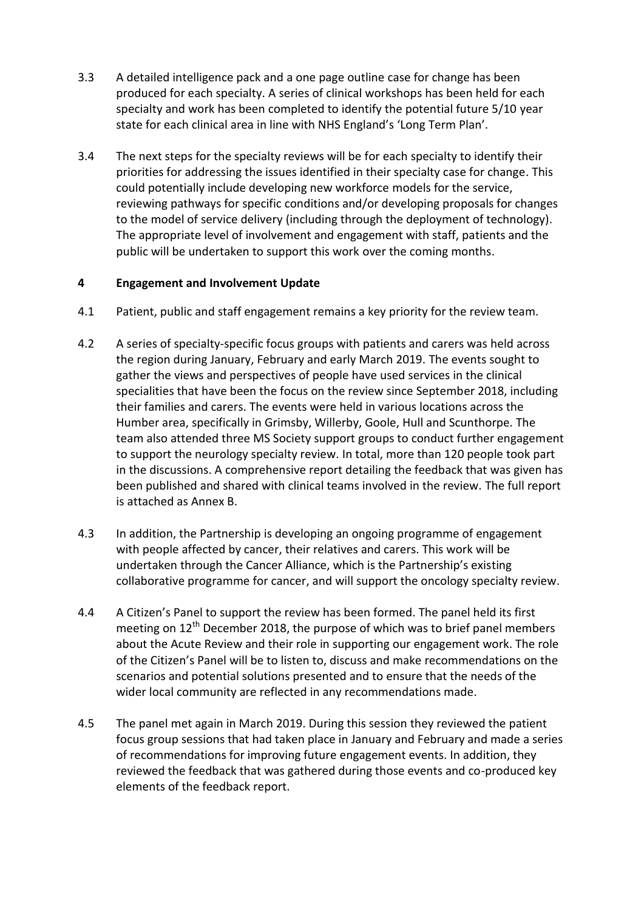- 3.3 A detailed intelligence pack and a one page outline case for change has been produced for each specialty. A series of clinical workshops has been held for each specialty and work has been completed to identify the potential future 5/10 year state for each clinical area in line with NHS England's 'Long Term Plan'.
- 3.4 The next steps for the specialty reviews will be for each specialty to identify their priorities for addressing the issues identified in their specialty case for change. This could potentially include developing new workforce models for the service, reviewing pathways for specific conditions and/or developing proposals for changes to the model of service delivery (including through the deployment of technology). The appropriate level of involvement and engagement with staff, patients and the public will be undertaken to support this work over the coming months.

## **4 Engagement and Involvement Update**

- 4.1 Patient, public and staff engagement remains a key priority for the review team.
- 4.2 A series of specialty-specific focus groups with patients and carers was held across the region during January, February and early March 2019. The events sought to gather the views and perspectives of people have used services in the clinical specialities that have been the focus on the review since September 2018, including their families and carers. The events were held in various locations across the Humber area, specifically in Grimsby, Willerby, Goole, Hull and Scunthorpe. The team also attended three MS Society support groups to conduct further engagement to support the neurology specialty review. In total, more than 120 people took part in the discussions. A comprehensive report detailing the feedback that was given has been published and shared with clinical teams involved in the review. The full report is attached as Annex B.
- 4.3 In addition, the Partnership is developing an ongoing programme of engagement with people affected by cancer, their relatives and carers. This work will be undertaken through the Cancer Alliance, which is the Partnership's existing collaborative programme for cancer, and will support the oncology specialty review.
- 4.4 A Citizen's Panel to support the review has been formed. The panel held its first meeting on  $12^{th}$  December 2018, the purpose of which was to brief panel members about the Acute Review and their role in supporting our engagement work. The role of the Citizen's Panel will be to listen to, discuss and make recommendations on the scenarios and potential solutions presented and to ensure that the needs of the wider local community are reflected in any recommendations made.
- 4.5 The panel met again in March 2019. During this session they reviewed the patient focus group sessions that had taken place in January and February and made a series of recommendations for improving future engagement events. In addition, they reviewed the feedback that was gathered during those events and co-produced key elements of the feedback report.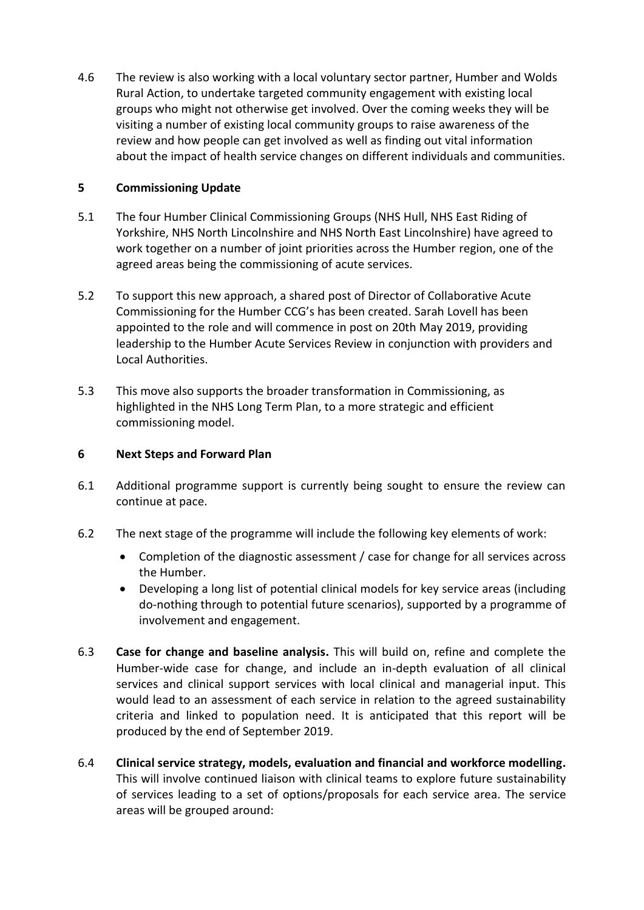4.6 The review is also working with a local voluntary sector partner, Humber and Wolds Rural Action, to undertake targeted community engagement with existing local groups who might not otherwise get involved. Over the coming weeks they will be visiting a number of existing local community groups to raise awareness of the review and how people can get involved as well as finding out vital information about the impact of health service changes on different individuals and communities.

## **5 Commissioning Update**

- 5.1 The four Humber Clinical Commissioning Groups (NHS Hull, NHS East Riding of Yorkshire, NHS North Lincolnshire and NHS North East Lincolnshire) have agreed to work together on a number of joint priorities across the Humber region, one of the agreed areas being the commissioning of acute services.
- 5.2 To support this new approach, a shared post of Director of Collaborative Acute Commissioning for the Humber CCG's has been created. Sarah Lovell has been appointed to the role and will commence in post on 20th May 2019, providing leadership to the Humber Acute Services Review in conjunction with providers and Local Authorities.
- 5.3 This move also supports the broader transformation in Commissioning, as highlighted in the NHS Long Term Plan, to a more strategic and efficient commissioning model.

#### **6 Next Steps and Forward Plan**

- 6.1 Additional programme support is currently being sought to ensure the review can continue at pace.
- 6.2 The next stage of the programme will include the following key elements of work:
	- Completion of the diagnostic assessment / case for change for all services across the Humber.
	- Developing a long list of potential clinical models for key service areas (including do-nothing through to potential future scenarios), supported by a programme of involvement and engagement.
- 6.3 **Case for change and baseline analysis.** This will build on, refine and complete the Humber-wide case for change, and include an in-depth evaluation of all clinical services and clinical support services with local clinical and managerial input. This would lead to an assessment of each service in relation to the agreed sustainability criteria and linked to population need. It is anticipated that this report will be produced by the end of September 2019.
- 6.4 **Clinical service strategy, models, evaluation and financial and workforce modelling.** This will involve continued liaison with clinical teams to explore future sustainability of services leading to a set of options/proposals for each service area. The service areas will be grouped around: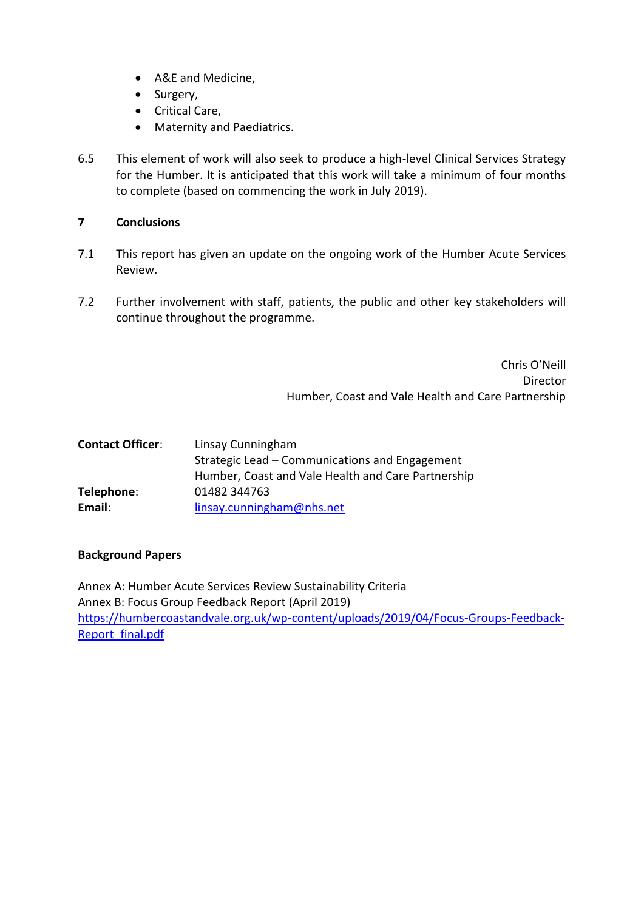- A&E and Medicine,
- Surgery,
- Critical Care,
- Maternity and Paediatrics.
- 6.5 This element of work will also seek to produce a high-level Clinical Services Strategy for the Humber. It is anticipated that this work will take a minimum of four months to complete (based on commencing the work in July 2019).

## **7 Conclusions**

- 7.1 This report has given an update on the ongoing work of the Humber Acute Services Review.
- 7.2 Further involvement with staff, patients, the public and other key stakeholders will continue throughout the programme.

Chris O'Neill Director Humber, Coast and Vale Health and Care Partnership

| <b>Contact Officer:</b> | Linsay Cunningham                                  |  |
|-------------------------|----------------------------------------------------|--|
|                         | Strategic Lead – Communications and Engagement     |  |
|                         | Humber, Coast and Vale Health and Care Partnership |  |
| Telephone:              | 01482 344763                                       |  |
| Email:                  | linsay.cunningham@nhs.net                          |  |

#### **Background Papers**

Annex A: Humber Acute Services Review Sustainability Criteria Annex B: Focus Group Feedback Report (April 2019) [https://humbercoastandvale.org.uk/wp-content/uploads/2019/04/Focus-Groups-Feedback-](https://humbercoastandvale.org.uk/wp-content/uploads/2019/04/Focus-Groups-Feedback-Report_final.pdf)[Report\\_final.pdf](https://humbercoastandvale.org.uk/wp-content/uploads/2019/04/Focus-Groups-Feedback-Report_final.pdf)